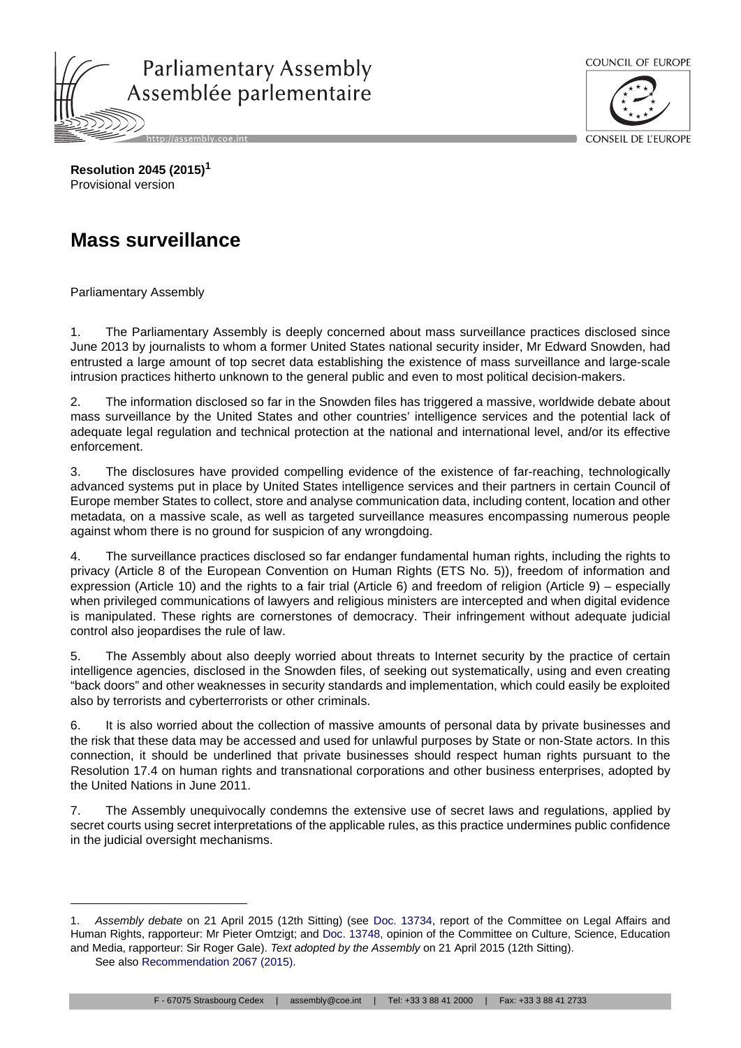



**Resolution 2045 (2015)<sup>1</sup>** Provisional version

## **Mass surveillance**

Parliamentary Assembly

1. The Parliamentary Assembly is deeply concerned about mass surveillance practices disclosed since June 2013 by journalists to whom a former United States national security insider, Mr Edward Snowden, had entrusted a large amount of top secret data establishing the existence of mass surveillance and large-scale intrusion practices hitherto unknown to the general public and even to most political decision-makers.

2. The information disclosed so far in the Snowden files has triggered a massive, worldwide debate about mass surveillance by the United States and other countries' intelligence services and the potential lack of adequate legal regulation and technical protection at the national and international level, and/or its effective enforcement.

3. The disclosures have provided compelling evidence of the existence of far-reaching, technologically advanced systems put in place by United States intelligence services and their partners in certain Council of Europe member States to collect, store and analyse communication data, including content, location and other metadata, on a massive scale, as well as targeted surveillance measures encompassing numerous people against whom there is no ground for suspicion of any wrongdoing.

4. The surveillance practices disclosed so far endanger fundamental human rights, including the rights to privacy (Article 8 of the European Convention on Human Rights (ETS No. 5)), freedom of information and expression (Article 10) and the rights to a fair trial (Article 6) and freedom of religion (Article 9) – especially when privileged communications of lawyers and religious ministers are intercepted and when digital evidence is manipulated. These rights are cornerstones of democracy. Their infringement without adequate judicial control also jeopardises the rule of law.

5. The Assembly about also deeply worried about threats to Internet security by the practice of certain intelligence agencies, disclosed in the Snowden files, of seeking out systematically, using and even creating "back doors" and other weaknesses in security standards and implementation, which could easily be exploited also by terrorists and cyberterrorists or other criminals.

6. It is also worried about the collection of massive amounts of personal data by private businesses and the risk that these data may be accessed and used for unlawful purposes by State or non-State actors. In this connection, it should be underlined that private businesses should respect human rights pursuant to the Resolution 17.4 on human rights and transnational corporations and other business enterprises, adopted by the United Nations in June 2011.

7. The Assembly unequivocally condemns the extensive use of secret laws and regulations, applied by secret courts using secret interpretations of the applicable rules, as this practice undermines public confidence in the judicial oversight mechanisms.

<sup>1.</sup> *Assembly debate* on 21 April 2015 (12th Sitting) (see Doc. 13734, report of the Committee on Legal Affairs and Human Rights, rapporteur: Mr Pieter Omtzigt; and Doc. 13748, opinion of the Committee on Culture, Science, Education and Media, rapporteur: Sir Roger Gale). *Text adopted by the Assembly* on 21 April 2015 (12th Sitting).

See also Recommendation 2067 (2015).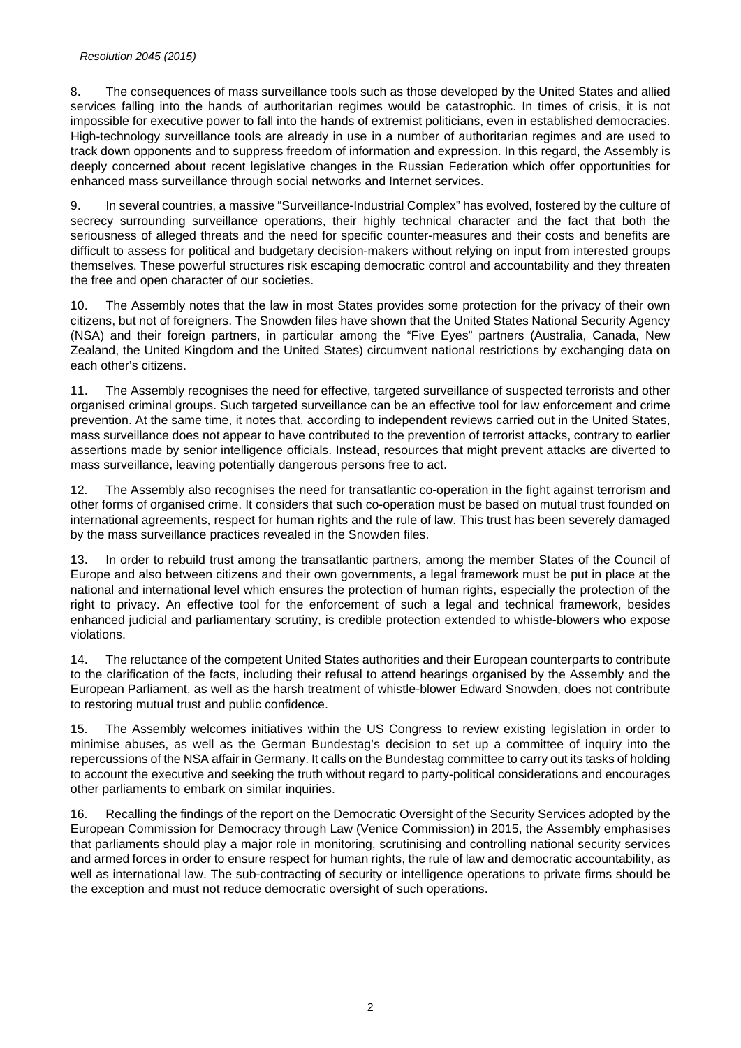## *Resolution 2045 (2015)*

8. The consequences of mass surveillance tools such as those developed by the United States and allied services falling into the hands of authoritarian regimes would be catastrophic. In times of crisis, it is not impossible for executive power to fall into the hands of extremist politicians, even in established democracies. High-technology surveillance tools are already in use in a number of authoritarian regimes and are used to track down opponents and to suppress freedom of information and expression. In this regard, the Assembly is deeply concerned about recent legislative changes in the Russian Federation which offer opportunities for enhanced mass surveillance through social networks and Internet services.

9. In several countries, a massive "Surveillance-Industrial Complex" has evolved, fostered by the culture of secrecy surrounding surveillance operations, their highly technical character and the fact that both the seriousness of alleged threats and the need for specific counter-measures and their costs and benefits are difficult to assess for political and budgetary decision-makers without relying on input from interested groups themselves. These powerful structures risk escaping democratic control and accountability and they threaten the free and open character of our societies.

10. The Assembly notes that the law in most States provides some protection for the privacy of their own citizens, but not of foreigners. The Snowden files have shown that the United States National Security Agency (NSA) and their foreign partners, in particular among the "Five Eyes" partners (Australia, Canada, New Zealand, the United Kingdom and the United States) circumvent national restrictions by exchanging data on each other's citizens.

11. The Assembly recognises the need for effective, targeted surveillance of suspected terrorists and other organised criminal groups. Such targeted surveillance can be an effective tool for law enforcement and crime prevention. At the same time, it notes that, according to independent reviews carried out in the United States, mass surveillance does not appear to have contributed to the prevention of terrorist attacks, contrary to earlier assertions made by senior intelligence officials. Instead, resources that might prevent attacks are diverted to mass surveillance, leaving potentially dangerous persons free to act.

12. The Assembly also recognises the need for transatlantic co-operation in the fight against terrorism and other forms of organised crime. It considers that such co-operation must be based on mutual trust founded on international agreements, respect for human rights and the rule of law. This trust has been severely damaged by the mass surveillance practices revealed in the Snowden files.

13. In order to rebuild trust among the transatlantic partners, among the member States of the Council of Europe and also between citizens and their own governments, a legal framework must be put in place at the national and international level which ensures the protection of human rights, especially the protection of the right to privacy. An effective tool for the enforcement of such a legal and technical framework, besides enhanced judicial and parliamentary scrutiny, is credible protection extended to whistle-blowers who expose violations.

14. The reluctance of the competent United States authorities and their European counterparts to contribute to the clarification of the facts, including their refusal to attend hearings organised by the Assembly and the European Parliament, as well as the harsh treatment of whistle-blower Edward Snowden, does not contribute to restoring mutual trust and public confidence.

15. The Assembly welcomes initiatives within the US Congress to review existing legislation in order to minimise abuses, as well as the German Bundestag's decision to set up a committee of inquiry into the repercussions of the NSA affair in Germany. It calls on the Bundestag committee to carry out its tasks of holding to account the executive and seeking the truth without regard to party-political considerations and encourages other parliaments to embark on similar inquiries.

16. Recalling the findings of the report on the Democratic Oversight of the Security Services adopted by the European Commission for Democracy through Law (Venice Commission) in 2015, the Assembly emphasises that parliaments should play a major role in monitoring, scrutinising and controlling national security services and armed forces in order to ensure respect for human rights, the rule of law and democratic accountability, as well as international law. The sub-contracting of security or intelligence operations to private firms should be the exception and must not reduce democratic oversight of such operations.